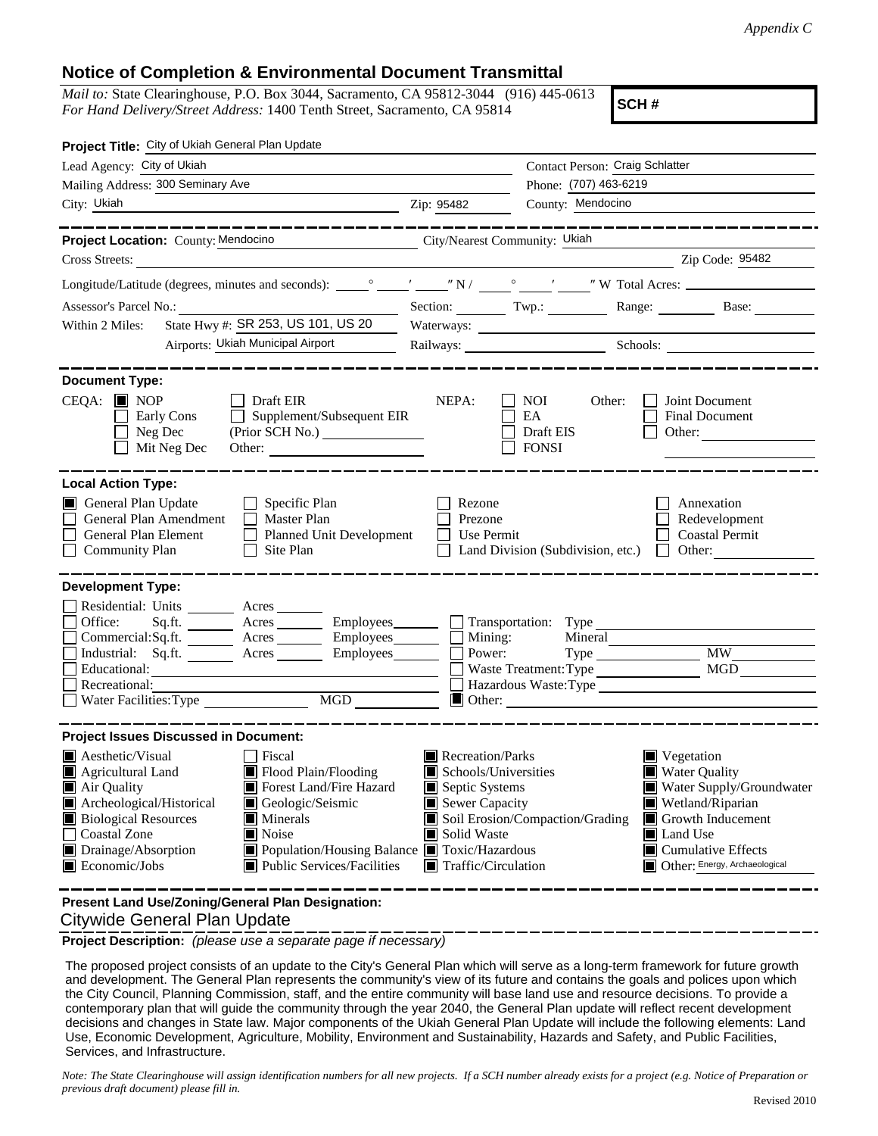## **Notice of Completion & Environmental Document Transmittal**

*Mail to:* State Clearinghouse, P.O. Box 3044, Sacramento, CA 95812-3044 (916) 445-0613 *For Hand Delivery/Street Address:* 1400 Tenth Street, Sacramento, CA 95814

**SCH #**

| Project Title: City of Ukiah General Plan Update                                                                                                                                                                                                                                                                                                                                                                                                                           |                                                                                                                                                                                                                                                                                                                                               |  |
|----------------------------------------------------------------------------------------------------------------------------------------------------------------------------------------------------------------------------------------------------------------------------------------------------------------------------------------------------------------------------------------------------------------------------------------------------------------------------|-----------------------------------------------------------------------------------------------------------------------------------------------------------------------------------------------------------------------------------------------------------------------------------------------------------------------------------------------|--|
| Lead Agency: City of Ukiah                                                                                                                                                                                                                                                                                                                                                                                                                                                 | Contact Person: Craig Schlatter                                                                                                                                                                                                                                                                                                               |  |
| Mailing Address: 300 Seminary Ave                                                                                                                                                                                                                                                                                                                                                                                                                                          | Phone: (707) 463-6219                                                                                                                                                                                                                                                                                                                         |  |
| City: Ukiah                                                                                                                                                                                                                                                                                                                                                                                                                                                                | County: Mendocino<br>Zip: 95482                                                                                                                                                                                                                                                                                                               |  |
| Project Location: County: Mendocino                                                                                                                                                                                                                                                                                                                                                                                                                                        | City/Nearest Community: Ukiah                                                                                                                                                                                                                                                                                                                 |  |
| Cross Streets:                                                                                                                                                                                                                                                                                                                                                                                                                                                             | $\overline{2ip \text{ Code: } 95482}$                                                                                                                                                                                                                                                                                                         |  |
|                                                                                                                                                                                                                                                                                                                                                                                                                                                                            |                                                                                                                                                                                                                                                                                                                                               |  |
| <b>Assessor's Parcel No.:</b><br><u> 1989 - Johann Barn, mars eta bainar eta idazlea (</u>                                                                                                                                                                                                                                                                                                                                                                                 | Section: Twp.: Twp.: Range: Base:                                                                                                                                                                                                                                                                                                             |  |
| State Hwy #: SR 253, US 101, US 20<br>Within 2 Miles:                                                                                                                                                                                                                                                                                                                                                                                                                      |                                                                                                                                                                                                                                                                                                                                               |  |
| Airports: Ukiah Municipal Airport                                                                                                                                                                                                                                                                                                                                                                                                                                          | Railways: Schools:                                                                                                                                                                                                                                                                                                                            |  |
| <b>Document Type:</b><br>$CEQA:$ MOP<br>$\Box$ Draft EIR<br>$\Box$ Supplement/Subsequent EIR<br>Early Cons<br>$\Box$ Neg Dec<br>(Prior SCH No.)<br>Mit Neg Dec                                                                                                                                                                                                                                                                                                             | NEPA:<br>Joint Document<br><b>NOI</b><br>Other:<br>EA<br><b>Final Document</b><br>Draft EIS<br>Other:<br><b>FONSI</b>                                                                                                                                                                                                                         |  |
| <b>Local Action Type:</b><br>General Plan Update<br>$\Box$ Specific Plan<br>General Plan Amendment<br>Master Plan<br>General Plan Element<br>Planned Unit Development<br>Community Plan<br>Site Plan<br>$\mathbf{1}$                                                                                                                                                                                                                                                       | Rezone<br>Annexation<br>Prezone<br>Redevelopment<br>Use Permit<br><b>Coastal Permit</b><br>Land Division (Subdivision, etc.)<br>Other: $\qquad \qquad$                                                                                                                                                                                        |  |
| <b>Development Type:</b><br>Residential: Units ________ Acres _______<br>Office:<br>Sq.fit.<br>$Commercial:Sq.fit.$ Acres Employees $\Box$ Mining:<br>Educational:<br>Recreational:<br>MGD _______<br>Water Facilities: Type                                                                                                                                                                                                                                               | Acres <u>Community Employees</u> Fransportation: Type<br>Mineral<br><b>MW</b><br>Type<br>Waste Treatment: Type<br><b>MGD</b><br>Hazardous Waste:Type                                                                                                                                                                                          |  |
| <b>Project Issues Discussed in Document:</b><br><b>Aesthetic/Visual</b><br>Fiscal<br>Flood Plain/Flooding<br>$\blacksquare$ Agricultural Land<br>Forest Land/Fire Hazard<br>Air Quality<br>Archeological/Historical<br>Geologic/Seismic<br><b>Biological Resources</b><br>$\blacksquare$ Minerals<br><b>Coastal Zone</b><br>Noise<br>Drainage/Absorption<br>■ Population/Housing Balance ■ Toxic/Hazardous<br>$\blacksquare$ Economic/Jobs<br>■ Public Services/Facilities | Recreation/Parks<br>■ Vegetation<br>Water Quality<br>Schools/Universities<br>Septic Systems<br>Water Supply/Groundwater<br>Sewer Capacity<br>Wetland/Riparian<br>Soil Erosion/Compaction/Grading<br>Growth Inducement<br>Solid Waste<br>Land Use<br>$\blacksquare$ Cumulative Effects<br>Traffic/Circulation<br>Other: Energy, Archaeological |  |

 Citywide General Plan Update **Present Land Use/Zoning/General Plan Designation:**

**Project Description:** *(please use a separate page if necessary)*

 The proposed project consists of an update to the City's General Plan which will serve as a long-term framework for future growth and development. The General Plan represents the community's view of its future and contains the goals and polices upon which the City Council, Planning Commission, staff, and the entire community will base land use and resource decisions. To provide a contemporary plan that will guide the community through the year 2040, the General Plan update will reflect recent development decisions and changes in State law. Major components of the Ukiah General Plan Update will include the following elements: Land Use, Economic Development, Agriculture, Mobility, Environment and Sustainability, Hazards and Safety, and Public Facilities, Services, and Infrastructure.

*Note: The State Clearinghouse will assign identification numbers for all new projects. If a SCH number already exists for a project (e.g. Notice of Preparation or previous draft document) please fill in.*